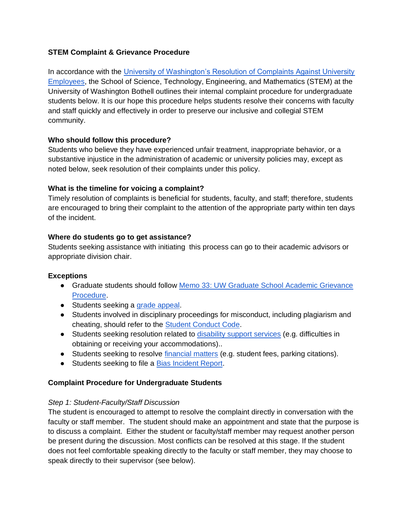## **STEM Complaint & Grievance Procedure**

In accordance with the [University of Washington's Resolution of Complaints Against University](http://www.washington.edu/admin/rules/policies/APS/46.03.html)  [Employees,](http://www.washington.edu/admin/rules/policies/APS/46.03.html) the School of Science, Technology, Engineering, and Mathematics (STEM) at the University of Washington Bothell outlines their internal complaint procedure for undergraduate students below. It is our hope this procedure helps students resolve their concerns with faculty and staff quickly and effectively in order to preserve our inclusive and collegial STEM community.

## **Who should follow this procedure?**

Students who believe they have experienced unfair treatment, inappropriate behavior, or a substantive injustice in the administration of academic or university policies may, except as noted below, seek resolution of their complaints under this policy.

## **What is the timeline for voicing a complaint?**

Timely resolution of complaints is beneficial for students, faculty, and staff; therefore, students are encouraged to bring their complaint to the attention of the appropriate party within ten days of the incident.

## **Where do students go to get assistance?**

Students seeking assistance with initiating this process can go to their academic advisors or appropriate division chair.

#### **Exceptions**

- Graduate students should follow [Memo 33: UW Graduate School Academic Grievance](https://grad.uw.edu/policies-procedures/graduate-school-memoranda/memo-33-academic-grievance-procedure/)  [Procedure.](https://grad.uw.edu/policies-procedures/graduate-school-memoranda/memo-33-academic-grievance-procedure/)
- Students seeking a [grade appeal.](https://www.uwb.edu/registration/policies/grading/grading-ug)
- Students involved in disciplinary proceedings for misconduct, including plagiarism and cheating, should refer to the [Student Conduct Code.](https://www.uwb.edu/studentaffairs/studentconduct)
- Students seeking resolution related to [disability support services](https://www.uwb.edu/studentaffairs/drs) (e.g. difficulties in obtaining or receiving your accommodations)..
- Students seeking to resolve [financial matters](https://www.uwb.edu/finance/campus-cashier) (e.g. student fees, parking citations).
- Students seeking to file a **Bias Incident Report**.

# **Complaint Procedure for Undergraduate Students**

#### *Step 1: Student-Faculty/Staff Discussion*

The student is encouraged to attempt to resolve the complaint directly in conversation with the faculty or staff member. The student should make an appointment and state that the purpose is to discuss a complaint. Either the student or faculty/staff member may request another person be present during the discussion. Most conflicts can be resolved at this stage. If the student does not feel comfortable speaking directly to the faculty or staff member, they may choose to speak directly to their supervisor (see below).